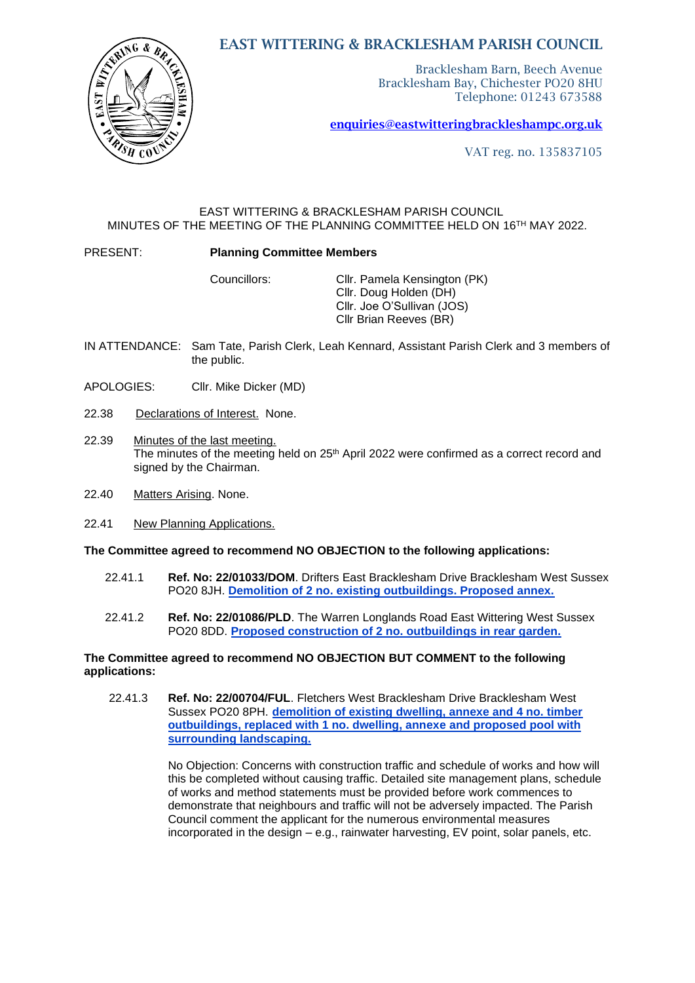# $\mathbf G$ -8

EAST WITTERING & BRACKLESHAM PARISH COUNCIL

Bracklesham Barn, Beech Avenue Bracklesham Bay, Chichester PO20 8HU Telephone: 01243 673588

[enquiries@eastwitteringb](mailto:enquiries@eastwittering)rackleshampc.org.uk

VAT reg. no. 135837105

#### EAST WITTERING & BRACKLESHAM PARISH COUNCIL MINUTES OF THE MEETING OF THE PLANNING COMMITTEE HELD ON 16TH MAY 2022.

#### PRESENT: **Planning Committee Members**

Councillors: Cllr. Pamela Kensington (PK) Cllr. Doug Holden (DH) Cllr. Joe O'Sullivan (JOS) Cllr Brian Reeves (BR)

- IN ATTENDANCE: Sam Tate, Parish Clerk, Leah Kennard, Assistant Parish Clerk and 3 members of the public.
- APOLOGIES: Cllr. Mike Dicker (MD)
- 22.38 Declarations of Interest. None.
- 22.39 Minutes of the last meeting. The minutes of the meeting held on 25<sup>th</sup> April 2022 were confirmed as a correct record and signed by the Chairman.
- 22.40 Matters Arising. None.
- 22.41 New Planning Applications.

#### **The Committee agreed to recommend NO OBJECTION to the following applications:**

- 22.41.1 **Ref. No: 22/01033/DOM**. Drifters East Bracklesham Drive Bracklesham West Sussex PO20 8JH. **[Demolition of 2 no. existing outbuildings. Proposed annex.](https://publicaccess.chichester.gov.uk/online-applications/applicationDetails.do?activeTab=summary&keyVal=RABNRSERFON00&prevPage=inTray)**
- 22.41.2 **Ref. No: 22/01086/PLD**. The Warren Longlands Road East Wittering West Sussex PO20 8DD. **[Proposed construction of 2 no. outbuildings in rear garden.](https://publicaccess.chichester.gov.uk/online-applications/applicationDetails.do?activeTab=summary&keyVal=RAQBINERFZ100&prevPage=inTray)**

#### **The Committee agreed to recommend NO OBJECTION BUT COMMENT to the following applications:**

22.41.3 **Ref. No: 22/00704/FUL**. Fletchers West Bracklesham Drive Bracklesham West Sussex PO20 8PH. **[demolition of existing dwelling, annexe and 4 no. timber](https://publicaccess.chichester.gov.uk/online-applications/applicationDetails.do?activeTab=summary&keyVal=R8VX94ERMBI00&prevPage=inTray)  [outbuildings, replaced with 1 no. dwelling, annexe and proposed pool with](https://publicaccess.chichester.gov.uk/online-applications/applicationDetails.do?activeTab=summary&keyVal=R8VX94ERMBI00&prevPage=inTray)  [surrounding landscaping.](https://publicaccess.chichester.gov.uk/online-applications/applicationDetails.do?activeTab=summary&keyVal=R8VX94ERMBI00&prevPage=inTray)**

> No Objection: Concerns with construction traffic and schedule of works and how will this be completed without causing traffic. Detailed site management plans, schedule of works and method statements must be provided before work commences to demonstrate that neighbours and traffic will not be adversely impacted. The Parish Council comment the applicant for the numerous environmental measures incorporated in the design – e.g., rainwater harvesting, EV point, solar panels, etc.